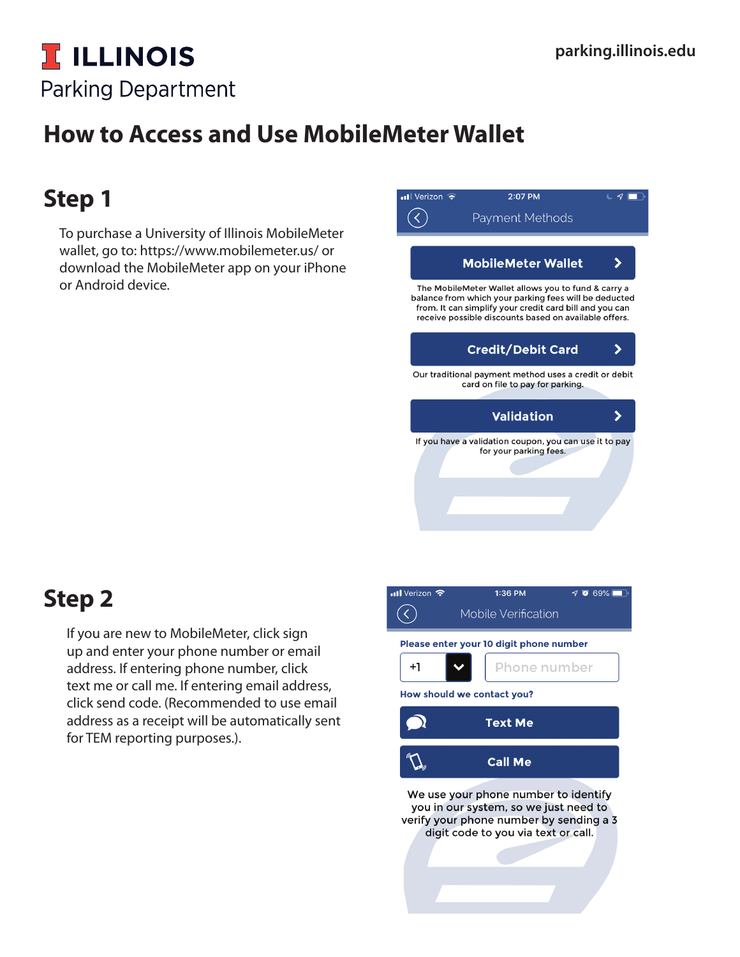### **T ILLINOIS Parking Department**

## **How to Access and Use MobileMeter Wallet**

### **Step 1**

To purchase a University of Illinois MobileMeter wallet, go to: https://www.mobilemeter.us/ or download the MobileMeter app on your iPhone or Android device.

### **Step 2**

If you are new to MobileMeter, click sign up and enter your phone number or email address. If entering phone number, click text me or call me. If entering email address, click send code. (Recommended to use email address as a receipt will be automatically sent for TEM reporting purposes.).

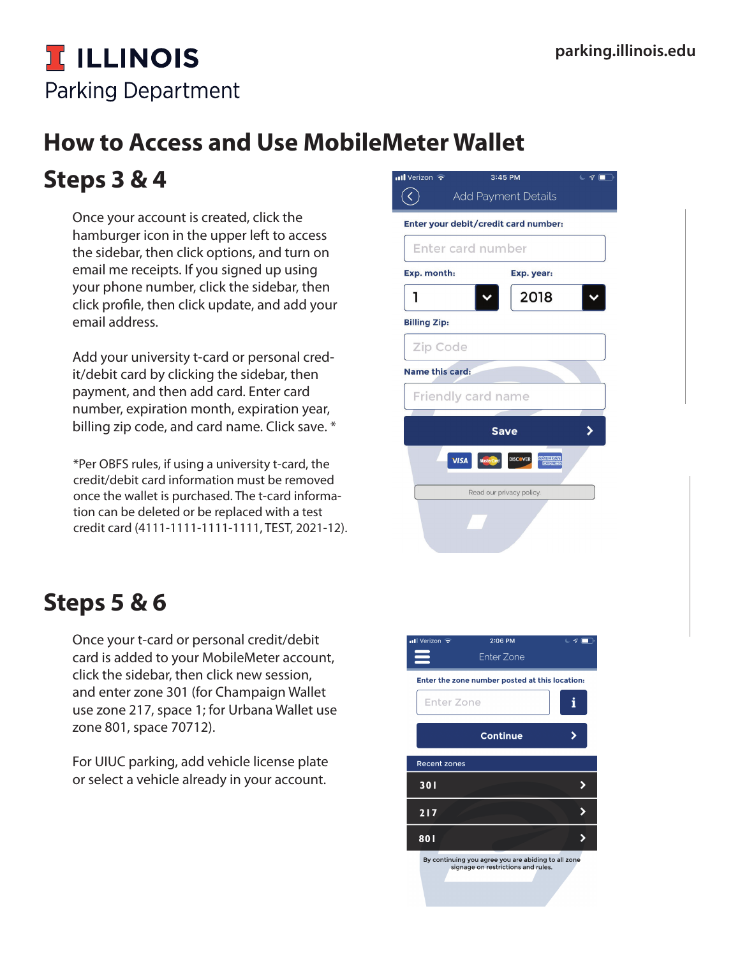## **T ILLINOIS Parking Department**

# **How to Access and Use MobileMeter Wallet**

#### **Steps 3 & 4**

Once your account is created, click the hamburger icon in the upper left to access the sidebar, then click options, and turn on email me receipts. If you signed up using your phone number, click the sidebar, then click profile, then click update, and add your email address.

Add your university t-card or personal credit/debit card by clicking the sidebar, then payment, and then add card. Enter card number, expiration month, expiration year, billing zip code, and card name. Click save. \*

\*Per OBFS rules, if using a university t-card, the credit/debit card information must be removed once the wallet is purchased. The t-card information can be deleted or be replaced with a test credit card (4111-1111-1111-1111, TEST, 2021-12).

### **Steps 5 & 6**

Once your t-card or personal credit/debit card is added to your MobileMeter account, click the sidebar, then click new session, and enter zone 301 (for Champaign Wallet use zone 217, space 1; for Urbana Wallet use zone 801, space 70712).

For UIUC parking, add vehicle license plate or select a vehicle already in your account.